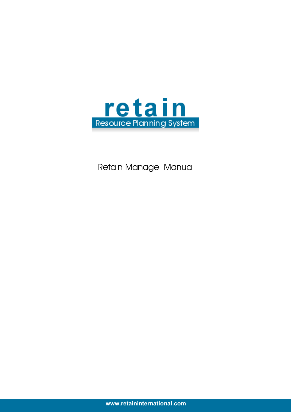

Retain Manage Manua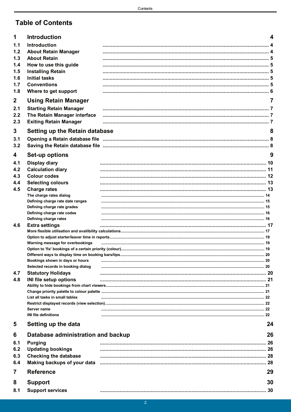# **Table of Contents**

| 1                       | <b>Introduction</b>                             |                                                                                                                | 4  |
|-------------------------|-------------------------------------------------|----------------------------------------------------------------------------------------------------------------|----|
| 1.1                     | Introduction                                    |                                                                                                                |    |
| 1.2                     | <b>About Retain Manager</b>                     |                                                                                                                |    |
| 1.3                     | <b>About Retain</b>                             |                                                                                                                |    |
| 1.4                     | How to use this guide                           |                                                                                                                |    |
| 1.5                     | <b>Installing Retain</b>                        |                                                                                                                |    |
| 1.6                     | <b>Initial tasks</b>                            |                                                                                                                |    |
| 1.7                     | <b>Conventions</b>                              |                                                                                                                |    |
| 1.8                     | Where to get support                            |                                                                                                                |    |
| $\mathbf{2}$            | <b>Using Retain Manager</b>                     |                                                                                                                |    |
| 2.1                     | <b>Starting Retain Manager</b>                  |                                                                                                                |    |
| 2.2                     | The Retain Manager interface                    |                                                                                                                |    |
| 2.3                     | <b>Exiting Retain Manager</b>                   |                                                                                                                |    |
| 3                       | <b>Setting up the Retain database</b>           |                                                                                                                | 8  |
| 3.1                     |                                                 | Opening a Retain database file manufacture and announcement and an anti-                                       |    |
| 3.2                     |                                                 |                                                                                                                |    |
|                         |                                                 |                                                                                                                |    |
| 4                       | Set-up options                                  |                                                                                                                | 9  |
| 4.1                     | <b>Display diary</b>                            |                                                                                                                |    |
| 4.2<br>4.3              | <b>Calculation diary</b><br><b>Colour codes</b> |                                                                                                                |    |
| 4.4                     | <b>Selecting colours</b>                        |                                                                                                                |    |
| 4.5                     | <b>Charge rates</b>                             |                                                                                                                |    |
|                         | The charge rates dialog                         |                                                                                                                |    |
|                         | Defining charge rate date ranges                |                                                                                                                |    |
|                         | Defining charge rate grades                     |                                                                                                                |    |
|                         | Defining charge rate codes                      |                                                                                                                |    |
| 4.6                     | Defining charge rates<br><b>Extra settings</b>  |                                                                                                                |    |
|                         |                                                 |                                                                                                                |    |
|                         |                                                 |                                                                                                                |    |
|                         | Warning message for overbookings                |                                                                                                                |    |
|                         |                                                 |                                                                                                                |    |
|                         | Bookings shown in days or hours                 |                                                                                                                |    |
|                         | Selected records in booking dialog              |                                                                                                                |    |
| 4.7                     | <b>Statutory Holidays</b>                       |                                                                                                                |    |
| 4.8                     | INI file setup options                          |                                                                                                                |    |
|                         |                                                 |                                                                                                                |    |
|                         | List all tasks in small tables                  |                                                                                                                |    |
|                         |                                                 |                                                                                                                |    |
|                         | Server name                                     |                                                                                                                |    |
|                         | <b>INI file definitions</b>                     |                                                                                                                |    |
| 5                       | Setting up the data                             |                                                                                                                | 24 |
| 6                       | Database administration and backup              |                                                                                                                | 26 |
| 6.1                     | <b>Purging</b>                                  |                                                                                                                |    |
| 6.2                     | <b>Updating bookings</b>                        |                                                                                                                |    |
| 6.3                     | <b>Checking the database</b>                    |                                                                                                                |    |
| 6.4                     |                                                 | Making backups of your data measurement controller and the material material controller and the material contr |    |
| $\overline{\mathbf{r}}$ | <b>Reference</b>                                |                                                                                                                | 29 |
| 8                       | <b>Support</b>                                  |                                                                                                                | 30 |
| 8.1                     | <b>Support services</b>                         |                                                                                                                |    |
|                         |                                                 |                                                                                                                |    |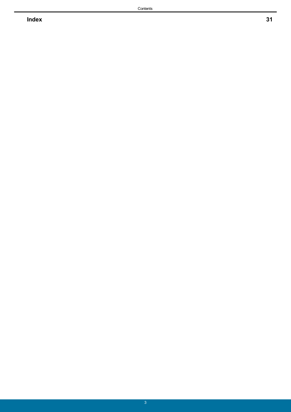**Index 31**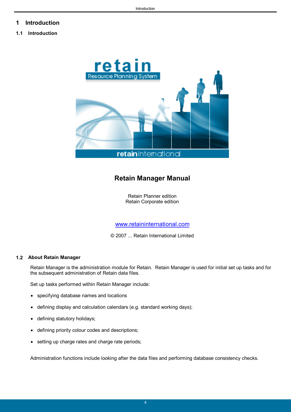### <span id="page-3-0"></span>**1 Introduction**

#### **1.1 Introduction**



### **Retain Manager Manual**

Retain Planner edition Retain Corporate edition

[www.retaininternational.com](http://www.retaininternational.com)

© 2007 ... Retain International Limited

#### <span id="page-3-1"></span>**1.2 About Retain Manager**

Retain Manager is the administration module for Retain. Retain Manager is used for initial set up tasks and for the subsequent administration of Retain data files.

Set up tasks performed within Retain Manager include:

- specifying database names and locations
- defining display and calculation calendars (e.g. standard working days);
- defining statutory holidays;
- defining priority colour codes and descriptions;
- setting up charge rates and charge rate periods;

Administration functions include looking after the data files and performing database consistency checks.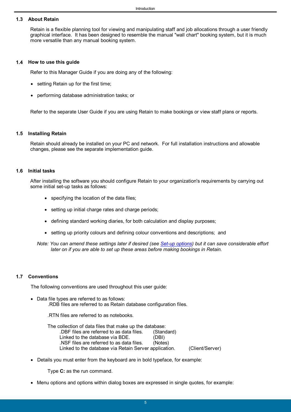#### <span id="page-4-0"></span>**1.3 About Retain**

Retain is a flexible planning tool for viewing and manipulating staff and job allocations through a user friendly graphical interface. It has been designed to resemble the manual "wall chart" booking system, but it is much more versatile than any manual booking system.

#### <span id="page-4-1"></span>**1.4 How to use this guide**

Refer to this Manager Guide if you are doing any of the following:

- setting Retain up for the first time:
- performing database administration tasks; or

Refer to the separate User Guide if you are using Retain to make bookings or view staff plans or reports.

#### <span id="page-4-2"></span>**1.5 Installing Retain**

Retain should already be installed on your PC and network. For full installation instructions and allowable changes, please see the separate implementation guide.

#### <span id="page-4-3"></span>**1.6 Initial tasks**

After installing the software you should configure Retain to your organization's requirements by carrying out some initial set-up tasks as follows:

- specifying the location of the data files;
- setting up initial charge rates and charge periods;
- defining standard working diaries, for both calculation and display purposes;
- setting up priority colours and defining colour conventions and descriptions; and
- *Note: You can amend these settings later if desired (see [Set-up options\)](#page-8-0) but it can save considerable effort later on if you are able to set up these areas before making bookings in Retain.*

#### <span id="page-4-4"></span>**1.7 Conventions**

The following conventions are used throughout this user guide:

- Data file types are referred to as follows: .RDB files are referred to as Retain database configuration files.
	- .RTN files are referred to as notebooks.

The collection of data files that make up the database: .DBF files are referred to as data files. (Standard) Linked to the database via BDE. (DBI) .NSF files are referred to as data files. (Notes) Linked to the database via Retain Server application. (Client/Server)

Details you must enter from the keyboard are in bold typeface, for example:

Type **C:** as the run command.

Menu options and options within dialog boxes are expressed in single quotes, for example: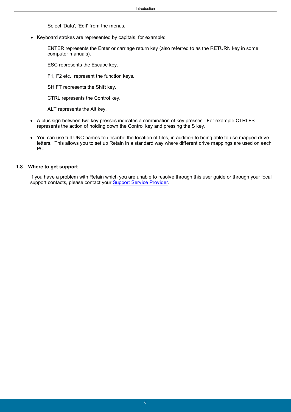Select 'Data', 'Edit' from the menus.

Keyboard strokes are represented by capitals, for example:

ENTER represents the Enter or carriage return key (also referred to as the RETURN key in some computer manuals).

ESC represents the Escape key.

F1, F2 etc., represent the function keys.

SHIFT represents the Shift key.

CTRL represents the Control key.

ALT represents the Alt key.

- A plus sign between two key presses indicates a combination of key presses. For example CTRL+S represents the action of holding down the Control key and pressing the S key.
- You can use full UNC names to describe the location of files, in addition to being able to use mapped drive letters. This allows you to set up Retain in a standard way where different drive mappings are used on each PC.

#### <span id="page-5-0"></span>**1.8 Where to get support**

If you have a problem with Retain which you are unable to resolve through this user guide or through your local support contacts, please contact your Support Service Provider.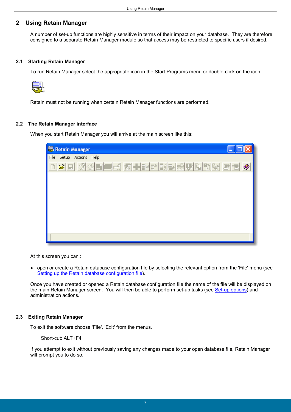#### <span id="page-6-0"></span>**2 Using Retain Manager**

A number of set-up functions are highly sensitive in terms of their impact on your database. They are therefore consigned to a separate Retain Manager module so that access may be restricted to specific users if desired.

#### <span id="page-6-1"></span>**2.1 Starting Retain Manager**

To run Retain Manager select the appropriate icon in the Start Programs menu or double-click on the icon.



Retain must not be running when certain Retain Manager functions are performed.

#### <span id="page-6-2"></span>**2.2 The Retain Manager interface**

When you start Retain Manager you will arrive at the main screen like this:

| Retain Manager                                                                |
|-------------------------------------------------------------------------------|
| File Setup Actions Help                                                       |
| ▎▆▏▔▎ <mark>░</mark> ▎░▎█▌█▌▅▎ <mark>▓▌▝▘▎</mark> ▆▘▌▓▏▘▎▆▌▓▎▓▖▎▓▏▓▏▆▏▆▏<br>Ø |
|                                                                               |
|                                                                               |
|                                                                               |
|                                                                               |
|                                                                               |
|                                                                               |

At this screen you can :

 open or create a Retain database configuration file by selecting the relevant option from the 'File' menu (see [Setting up the Retain database configuration file\)](#page-7-0).

Once you have created or opened a Retain database configuration file the name of the file will be displayed on the main Retain Manager screen. You will then be able to perform set-up tasks (see [Set-up options](#page-8-0)) and administration actions.

#### <span id="page-6-3"></span>**2.3 Exiting Retain Manager**

To exit the software choose 'File', 'Exit' from the menus.

Short-cut: ALT+F4.

If you attempt to exit without previously saving any changes made to your open database file, Retain Manager will prompt you to do so.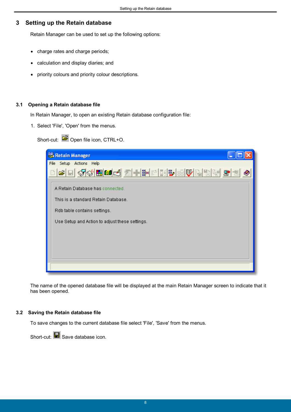### <span id="page-7-0"></span>**3 Setting up the Retain database**

Retain Manager can be used to set up the following options:

- charge rates and charge periods;
- calculation and display diaries; and
- priority colours and priority colour descriptions.

#### <span id="page-7-1"></span>**3.1 Opening a Retain database file**

In Retain Manager, to open an existing Retain database configuration file:

1. Select 'File', 'Open' from the menus.

Short-cut:  $\mathbb{E}$  Open file icon, CTRL+O.

| Retain Manager                                 |
|------------------------------------------------|
| File<br>Setup Actions Help                     |
| <u>CIGO(HIGGGFINDISEUGDIGGE</u>                |
| A Retain Database has connected.               |
| This is a standard Retain Database.            |
| Rdb table contains settings.                   |
| Use Setup and Action to adjust these settings. |
|                                                |
|                                                |
|                                                |
|                                                |

The name of the opened database file will be displayed at the main Retain Manager screen to indicate that it has been opened.

#### <span id="page-7-2"></span>**3.2 Saving the Retain database file**

To save changes to the current database file select 'File', 'Save' from the menus.

Short-cut:  $\blacksquare$  Save database icon.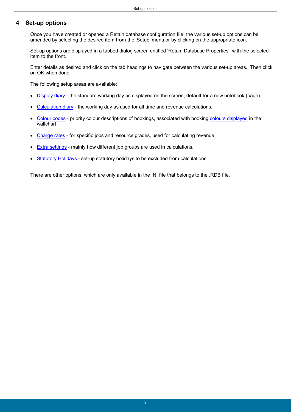### <span id="page-8-0"></span>**4 Set-up options**

Once you have created or opened a Retain database configuration file, the various set-up options can be amended by selecting the desired item from the 'Setup' menu or by clicking on the appropriate icon.

Set-up options are displayed in a tabbed dialog screen entitled 'Retain Database Properties', with the selected item to the front.

Enter details as desired and click on the tab headings to navigate between the various set-up areas. Then click on OK when done.

The following setup areas are available:

- [Display diary](#page-9-0)  the standard working day as displayed on the screen, default for a new notebook (page).
- [Calculation diary](#page-10-0) the working day as used for all time and revenue calculations.
- [Colour codes](#page-11-0) priority colour descriptions of bookings, associated with booking [colours displayed](#page-12-0) in the wallchart.
- [Charge rates](#page-12-1)  for specific jobs and resource grades, used for calculating revenue.
- [Extra settings](#page-16-0) mainly how different job groups are used in calculations.
- [Statutory Holidays](#page-19-3)  set-up statutory holidays to be excluded from calculations.

There are other options, which are only available in the INI file that belongs to the .RDB file.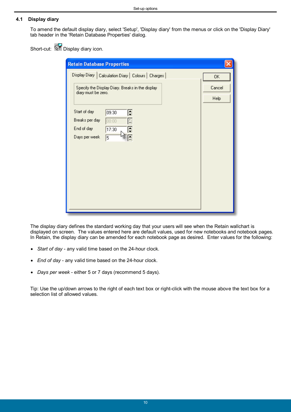#### <span id="page-9-0"></span>**4.1 Display diary**

To amend the default display diary, select 'Setup', 'Display diary' from the menus or click on the 'Display Diary' tab header in the 'Retain Database Properties' dialog.

Short-cut: Display diary icon.

| <b>Retain Database Properties</b>                                                                                      |                       |
|------------------------------------------------------------------------------------------------------------------------|-----------------------|
| Display Diary   Calculation Diary   Colours   Charges                                                                  | 0K                    |
| Specify the Display Diary. Breaks in the display-<br>diary must be zero.                                               | Cancel<br><b>Help</b> |
| Start of day<br>₽<br>09:30<br>Breaks per day<br>$\leq$<br>00:00<br>End of day<br>$\div$<br>17:30<br>Days per week<br>5 |                       |

The display diary defines the standard working day that your users will see when the Retain wallchart is displayed on screen. The values entered here are default values, used for new notebooks and notebook pages. In Retain, the display diary can be amended for each notebook page as desired. Enter values for the following:

- *Start of day* any valid time based on the 24-hour clock.
- *End of day* any valid time based on the 24-hour clock.
- *Days per week* either 5 or 7 days (recommend 5 days).

Tip: Use the up/down arrows to the right of each text box or right-click with the mouse above the text box for a selection list of allowed values.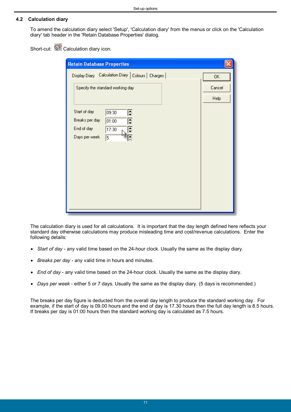#### <span id="page-10-0"></span>**4.2 Calculation diary**

To amend the calculation diary select 'Setup', 'Calculation diary' from the menus or click on the 'Calculation diary' tab header in the 'Retain Database Properties' dialog.

Short-cut:  $\mathbb{S}^1$  Calculation diary icon.

| <b>Retain Database Properties</b>                     |             |
|-------------------------------------------------------|-------------|
| Display Diary   Calculation Diary   Colours   Charges | 0K          |
| Specify the standard working day                      | Cancel      |
|                                                       | <b>Help</b> |
| Start of day<br>F<br>09:30                            |             |
| Breaks per day<br>÷<br>01:00                          |             |
| End of day<br>≑<br>17:30                              |             |
| Days per week<br>5                                    |             |
|                                                       |             |
|                                                       |             |
|                                                       |             |
|                                                       |             |
|                                                       |             |
|                                                       |             |
|                                                       |             |
|                                                       |             |

The calculation diary is used for all calculations. It is important that the day length defined here reflects your standard day otherwise calculations may produce misleading time and cost/revenue calculations. Enter the following details:

- *Start of day* any valid time based on the 24-hour clock. Usually the same as the display diary.
- *Breaks per day* any valid time in hours and minutes.
- *End of day* any valid time based on the 24-hour clock. Usually the same as the display diary.
- *Days per week* either 5 or 7 days. Usually the same as the display diary. (5 days is recommended.)

The breaks per day figure is deducted from the overall day length to produce the standard working day. For example, if the start of day is 09.00 hours and the end of day is 17.30 hours then the full day length is 8.5 hours. If breaks per day is 01:00 hours then the standard working day is calculated as 7.5 hours.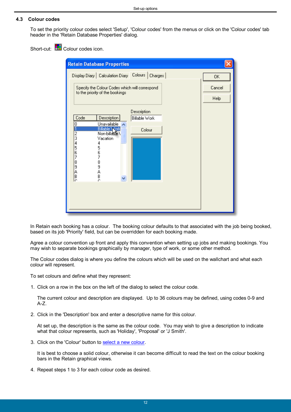#### <span id="page-11-0"></span>**4.3 Colour codes**

To set the priority colour codes select 'Setup', 'Colour codes' from the menus or click on the 'Colour codes' tab header in the 'Retain Database Properties' dialog.

Short-cut: **ED** Colour codes icon.

| <b>Retain Database Properties</b>                                                                                                                                                                                       |                       |
|-------------------------------------------------------------------------------------------------------------------------------------------------------------------------------------------------------------------------|-----------------------|
| Display Diary   Calculation Diary   Colours  <br>Charges                                                                                                                                                                | 0K                    |
| Specify the Colour Codes which will correspond<br>to the priority of the bookings                                                                                                                                       | Cancel<br><b>Help</b> |
| Description<br>Code<br>Description<br>Billable Work<br><b>Unavailable</b><br>0<br>Billable \Nork<br>Non-billable \<br>Colour<br>$\frac{2}{3}$<br>Vacation<br>4<br>4<br>56789ABC<br>5<br>6<br>7<br>8<br>9<br>A<br>B<br>C |                       |

In Retain each booking has a colour. The booking colour defaults to that associated with the job being booked, based on its job 'Priority' field, but can be overridden for each booking made.

Agree a colour convention up front and apply this convention when setting up jobs and making bookings. You may wish to separate bookings graphically by manager, type of work, or some other method.

The Colour codes dialog is where you define the colours which will be used on the wallchart and what each colour will represent.

To set colours and define what they represent:

1. Click on a row in the box on the left of the dialog to select the colour code.

The current colour and description are displayed. Up to 36 colours may be defined, using codes 0-9 and A-Z.

2. Click in the 'Description' box and enter a descriptive name for this colour.

At set up, the description is the same as the colour code. You may wish to give a description to indicate what that colour represents, such as 'Holiday', 'Proposal' or 'J Smith'.

3. Click on the 'Colour' button to [select a new colour.](#page-12-0)

It is best to choose a solid colour, otherwise it can become difficult to read the text on the colour booking bars in the Retain graphical views.

4. Repeat steps 1 to 3 for each colour code as desired.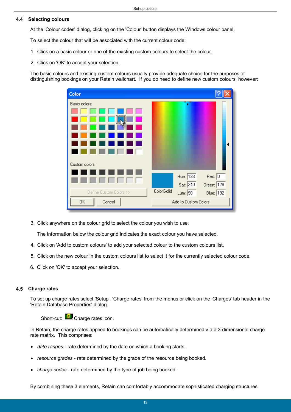#### <span id="page-12-0"></span>**4.4 Selecting colours**

At the 'Colour codes' dialog, clicking on the 'Colour' button displays the Windows colour panel.

To select the colour that will be associated with the current colour code:

- 1. Click on a basic colour or one of the existing custom colours to select the colour.
- 2. Click on 'OK' to accept your selection.

The basic colours and existing custom colours usually provide adequate choice for the purposes of distinguishing bookings on your Retain wallchart. If you do need to define new custom colours, however:

| Color                   |                                                                                            |  |
|-------------------------|--------------------------------------------------------------------------------------------|--|
| Basic colors:           | ٠                                                                                          |  |
| Custom colors:          |                                                                                            |  |
| Define Custom Colors >> | Hue: 133<br>Red: 0<br>Sat: 240<br>Green: 128<br>Color Solid<br><b>Blue:</b> 192<br>Lum: 90 |  |
| 0K<br>Cancel            | Add to Custom Colors                                                                       |  |

3. Click anywhere on the colour grid to select the colour you wish to use.

The information below the colour grid indicates the exact colour you have selected.

- 4. Click on 'Add to custom colours' to add your selected colour to the custom colours list.
- 5. Click on the new colour in the custom colours list to select it for the currently selected colour code.
- 6. Click on 'OK' to accept your selection.

#### <span id="page-12-1"></span>**4.5 Charge rates**

To set up charge rates select 'Setup', 'Charge rates' from the menus or click on the 'Charges' tab header in the 'Retain Database Properties' dialog.

Short-cut: **Contingle Charge rates icon.** 

In Retain, the charge rates applied to bookings can be automatically determined via a 3-dimensional charge rate matrix. This comprises:

- *date ranges* rate determined by the date on which a booking starts.
- *resource grades* rate determined by the grade of the resource being booked.
- *charge codes* rate determined by the type of job being booked.

By combining these 3 elements, Retain can comfortably accommodate sophisticated charging structures.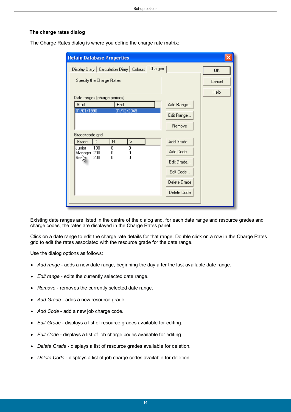#### <span id="page-13-0"></span>**The charge rates dialog**

**Retain Database Properties** Display Diary | Calculation Diary | Colours | Charges 0K Specify the Charge Rates Cancel Help Date ranges (charge periods) Start End Add Range.. 01/01/1990 31/12/2049 Edit Range.. Remove Grade\code grid Grade Γс ١N  $\overline{\vee}$ Add Grade...  $\overline{100}$ Junior  $\overline{0}$  $\overline{0}$ Add Code... Manager 200 0 0 Ser 200 0 0 Edit Grade... Edit Code... Delete Grade Delete Code

The Charge Rates dialog is where you define the charge rate matrix:

Existing date ranges are listed in the centre of the dialog and, for each date range and resource grades and charge codes, the rates are displayed in the Charge Rates panel.

Click on a date range to edit the charge rate details for that range. Double click on a row in the Charge Rates grid to edit the rates associated with the resource grade for the date range.

Use the dialog options as follows:

- *Add range* adds a new date range, beginning the day after the last available date range.
- *Edit range* edits the currently selected date range.
- *Remove* removes the currently selected date range.
- *Add Grade* adds a new resource grade.
- *Add Code* add a new job charge code.
- *Edit Grade* displays a list of resource grades available for editing.
- *Edit Code* displays a list of job charge codes available for editing.
- *Delete Grade* displays a list of resource grades available for deletion.
- *Delete Code* displays a list of job charge codes available for deletion.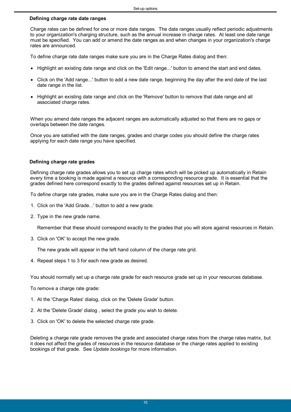#### <span id="page-14-0"></span>**Defining charge rate date ranges**

Charge rates can be defined for one or more date ranges. The date ranges usually reflect periodic adjustments to your organization's charging structure, such as the annual increase in charge rates. At least one date range must be specified. You can add or amend the date ranges as and when changes in your organization's charge rates are announced.

To define charge rate date ranges make sure you are in the Charge Rates dialog and then:

- Highlight an existing date range and click on the 'Edit range...' button to amend the start and end dates.
- Click on the 'Add range...' button to add a new date range, beginning the day after the end date of the last date range in the list.
- Highlight an existing date range and click on the 'Remove' button to remove that date range and all associated charge rates.

When you amend date ranges the adjacent ranges are automatically adjusted so that there are no gaps or overlaps between the date ranges.

Once you are satisfied with the date ranges, grades and charge codes you should define the charge rates applying for each date range you have specified.

#### <span id="page-14-1"></span>**Defining charge rate grades**

Defining charge rate grades allows you to set up charge rates which will be picked up automatically in Retain every time a booking is made against a resource with a corresponding resource grade. It is essential that the grades defined here correspond exactly to the grades defined against resources set up in Retain.

To define charge rate grades, make sure you are in the Charge Rates dialog and then:

- 1. Click on the 'Add Grade...' button to add a new grade.
- 2. Type in the new grade name.

Remember that these should correspond exactly to the grades that you will store against resources in Retain.

3. Click on 'OK' to accept the new grade.

The new grade will appear in the left hand column of the charge rate grid.

4. Repeat steps 1 to 3 for each new grade as desired.

You should normally set up a charge rate grade for each resource grade set up in your resources database.

To remove a charge rate grade:

- 1. At the 'Charge Rates' dialog, click on the 'Delete Grade' button.
- 2. At the 'Delete Grade' dialog , select the grade you wish to delete.
- 3. Click on 'OK' to delete the selected charge rate grade.

Deleting a charge rate grade removes the grade and associated charge rates from the charge rates matrix, but it does not affect the grades of resources in the resource database or the charge rates applied to existing bookings of that grade. See *Update bookings* for more information.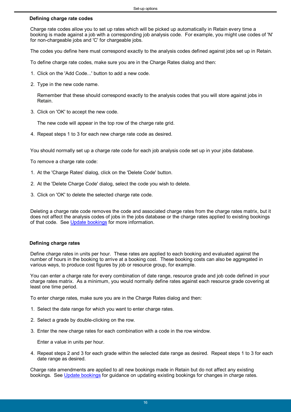#### <span id="page-15-0"></span>**Defining charge rate codes**

Charge rate codes allow you to set up rates which will be picked up automatically in Retain every time a booking is made against a job with a corresponding job analysis code. For example, you might use codes of 'N' for non-chargeable jobs and 'C' for chargeable jobs.

The codes you define here must correspond exactly to the analysis codes defined against jobs set up in Retain.

To define charge rate codes, make sure you are in the Charge Rates dialog and then:

- 1. Click on the 'Add Code...' button to add a new code.
- 2. Type in the new code name.

Remember that these should correspond exactly to the analysis codes that you will store against jobs in Retain.

3. Click on 'OK' to accept the new code.

The new code will appear in the top row of the charge rate grid.

4. Repeat steps 1 to 3 for each new charge rate code as desired.

You should normally set up a charge rate code for each job analysis code set up in your jobs database.

To remove a charge rate code:

- 1. At the 'Charge Rates' dialog, click on the 'Delete Code' button.
- 2. At the 'Delete Charge Code' dialog, select the code you wish to delete.
- 3. Click on 'OK' to delete the selected charge rate code.

Deleting a charge rate code removes the code and associated charge rates from the charge rates matrix, but it does not affect the analysis codes of jobs in the jobs database or the charge rates applied to existing bookings of that code. See [Update bookings](#page-25-2) for more information.

#### <span id="page-15-1"></span>**Defining charge rates**

Define charge rates in units per hour. These rates are applied to each booking and evaluated against the number of hours in the booking to arrive at a booking cost. These booking costs can also be aggregated in various ways, to produce cost figures by job or resource group, for example.

You can enter a charge rate for every combination of date range, resource grade and job code defined in your charge rates matrix. As a minimum, you would normally define rates against each resource grade covering at least one time period.

To enter charge rates, make sure you are in the Charge Rates dialog and then:

- 1. Select the date range for which you want to enter charge rates.
- 2. Select a grade by double-clicking on the row.
- 3. Enter the new charge rates for each combination with a code in the row window.

Enter a value in units per hour.

4. Repeat steps 2 and 3 for each grade within the selected date range as desired. Repeat steps 1 to 3 for each date range as desired.

Charge rate amendments are applied to all new bookings made in Retain but do not affect any existing bookings. See [Update bookings](#page-25-2) for guidance on updating existing bookings for changes in charge rates.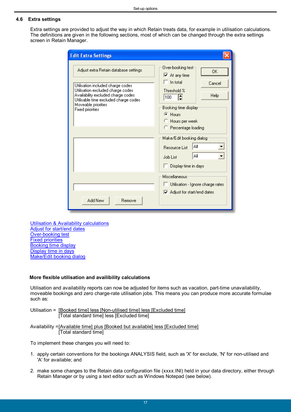#### <span id="page-16-0"></span>**4.6 Extra settings**

Extra settings are provided to adjust the way in which Retain treats data, for example in utilisation calculations. The definitions are given in the following sections, most of which can be changed through the extra settings screen in Retain Manager.

| <b>Edit Extra Settings</b>                                                                                                                                                                                                                       |                                                                                                                                                                                                                                                                                                                                |  |
|--------------------------------------------------------------------------------------------------------------------------------------------------------------------------------------------------------------------------------------------------|--------------------------------------------------------------------------------------------------------------------------------------------------------------------------------------------------------------------------------------------------------------------------------------------------------------------------------|--|
| Adjust extra Retain database settings<br>Utilisation included charge codes<br>Utilisation excluded charge codes<br>Availability excluded charge codes<br>Utilisable time excluded charge codes<br>Moveable priorities<br><b>Fixed priorities</b> | Over-booking test:<br>OK.<br>$\overline{\blacktriangledown}$ At any time<br>$\Box$ In total<br>Cancel<br>Threshold %<br>Help<br>$\boxed{100}$<br>Booking time display:<br>$F$ Hours<br>C Hours per week<br>C Percentage loading<br>Make/Edit booking dialog<br>ΑIΙ<br>Resource List<br>Αll<br>Job List<br>Display time in days |  |
| Add New<br>Remove                                                                                                                                                                                                                                | Miscellaneous<br>Utilisation - Ignore charge rates<br>Adjust for start/end dates                                                                                                                                                                                                                                               |  |

[Utilisation & Availability calculations](#page-16-1) [Adjust for start/end dates](#page-18-0) [Over-booking test](#page-18-1) [Fixed priorities](#page-18-2) [Booking time display](#page-19-0) [Display time in days](#page-19-1) [Make/Edit booking dialog](#page-19-2)

#### <span id="page-16-1"></span>**More flexible utilisation and availibility calculations**

Utilisation and availability reports can now be adjusted for items such as vacation, part-time unavailability, moveable bookings and zero charge-rate utilisation jobs. This means you can produce more accurate formulae such as:

Utilisation = [Booked time] less [Non-utilised time] less [Excluded time] [Total standard time] less [Excluded time]

Availability =[Available time] plus [Booked but available] less [Excluded time] [Total standard time]

To implement these changes you will need to:

- 1. apply certain conventions for the bookings ANALYSIS field, such as 'X' for exclude, 'N' for non-utilised and 'A' for available; and
- 2. make some changes to the Retain data configuration file (xxxx.INI) held in your data directory, either through Retain Manager or by using a text editor such as Windows Notepad (see below).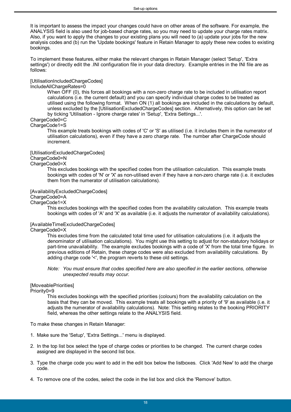It is important to assess the impact your changes could have on other areas of the software. For example, the ANALYSIS field is also used for job-based charge rates, so you may need to update your charge rates matrix. Also, if you want to apply the changes to your existing plans you will need to (a) update your jobs for the new analysis codes and (b) run the 'Update bookings' feature in Retain Manager to apply these new codes to existing bookings.

To implement these features, either make the relevant changes in Retain Manager (select 'Setup', 'Extra settings') or directly edit the .INI configuration file in your data directory. Example entries in the INI file are as follows:

#### [UtilisationIncludedChargeCodes]

#### IncludeAllChargeRates=0

 When OFF (0), this forces all bookings with a non-zero charge rate to be included in utilisation report calculations (i.e. the current default) and you can specify individual charge codes to be treated as utilised using the following format. When ON (1) all bookings are included in the calculations by default, unless excluded by the [UtilisationExcludedChargeCodes] section. Alternatively, this option can be set by ticking 'Utilisation - Ignore charge rates' in 'Setup', 'Extra Settings...'.

#### ChargeCode0=C ChargeCode1=S

 This example treats bookings with codes of 'C' or 'S' as utilised (i.e. it includes them in the numerator of utilisation calculations), even if they have a zero charge rate. The number after ChargeCode should increment.

#### [UtilisationExcludedChargeCodes]

### ChargeCode0=N

ChargeCode0=X

 This excludes bookings with the specified codes from the utilisation calculation. This example treats bookings with codes of 'N' or 'X' as non-utilised even if they have a non-zero charge rate (i.e. it excludes them from the numerator of utilisation calculations).

#### [AvailabilityExcludedChargeCodes]

### ChargeCode0=A

ChargeCode1=X

 This excludes bookings with the specified codes from the availability calculation. This example treats bookings with codes of 'A' and 'X' as available (i.e. it adjusts the numerator of availability calculations).

#### [AvailableTimeExcludedChargeCodes]

ChargeCode0=X

 This excludes time from the calculated total time used for utilisation calculations (i.e. it adjusts the denominator of utilisation calculations). You might use this setting to adjust for non-statutory holidays or part-time unavailability. The example excludes bookings with a code of 'X' from the total time figure. In previous editions of Retain, these charge codes were also excluded from availability calculations. By adding charge code '<', the program reverts to these old settings.

#### *Note: You must ensure that codes specified here are also specified in the earlier sections, otherwise unexpected results may occur.*

#### [MoveablePriorities]

Priority0=9

 This excludes bookings with the specified priorities (colours) from the availability calculation on the basis that they can be moved. This example treats all bookings with a priority of '9' as available (i.e. it adjusts the numerator of availability calculations). Note: This setting relates to the booking PRIORITY field, whereas the other settings relate to the ANALYSIS field.

To make these changes in Retain Manager:

- 1. Make sure the 'Setup', 'Extra Settings...' menu is displayed.
- 2. In the top list box select the type of charge codes or priorities to be changed. The current charge codes assigned are displayed in the second list box.
- 3. Type the charge code you want to add in the edit box below the listboxes. Click 'Add New' to add the charge code.
- 4. To remove one of the codes, select the code in the list box and click the 'Remove' button.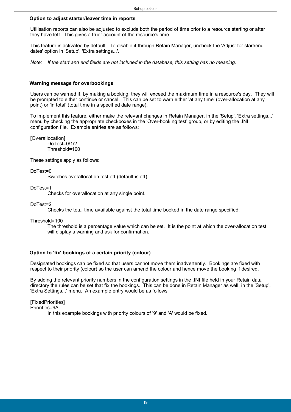#### <span id="page-18-0"></span>**Option to adjust starter/leaver time in reports**

Utilisation reports can also be adjusted to exclude both the period of time prior to a resource starting or after they have left. This gives a truer account of the resource's time.

This feature is activated by default. To disable it through Retain Manager, uncheck the 'Adjust for start/end dates' option in 'Setup', 'Extra settings...'.

*Note: If the start and end fields are not included in the database, this setting has no meaning.*

#### <span id="page-18-1"></span>**Warning message for overbookings**

Users can be warned if, by making a booking, they will exceed the maximum time in a resource's day. They will be prompted to either continue or cancel. This can be set to warn either 'at any time' (over-allocation at any point) or 'in total' (total time in a specified date range).

To implement this feature, either make the relevant changes in Retain Manager, in the 'Setup', 'Extra settings...' menu by checking the appropriate checkboxes in the 'Over-booking test' group, or by editing the .INI configuration file. Example entries are as follows:

[Overallocation]

DoTest=0/1/2 Threshold=100

These settings apply as follows:

DoTest=0

Switches overallocation test off (default is off).

DoTest=1

Checks for overallocation at any single point.

DoTest=2

Checks the total time available against the total time booked in the date range specified.

Threshold=100

The threshold is a percentage value which can be set. It is the point at which the over-allocation test will display a warning and ask for confirmation.

#### <span id="page-18-2"></span>**Option to 'fix' bookings of a certain priority (colour)**

Designated bookings can be fixed so that users cannot move them inadvertently. Bookings are fixed with respect to their priority (colour) so the user can amend the colour and hence move the booking if desired.

By adding the relevant priority numbers in the configuration settings in the .INI file held in your Retain data directory the rules can be set that fix the bookings. This can be done in Retain Manager as well, in the 'Setup', 'Extra Settings...' menu. An example entry would be as follows:

[FixedPriorities]

Priorities=9A

In this example bookings with priority colours of '9' and 'A' would be fixed.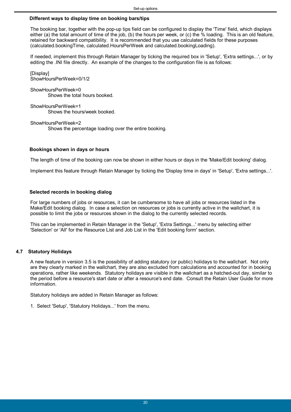#### <span id="page-19-0"></span>**Different ways to display time on booking bars/tips**

The booking bar, together with the pop-up tips field can be configured to display the 'Time' field, which displays either (a) the total amount of time of the job, (b) the hours per week, or (c) the % loading. This is an old feature, retained for backward compatibility. It is recommended that you use calculated fields for these purposes (calculated.bookingTime, calculated.HoursPerWeek and calculated.bookingLoading).

If needed, implement this through Retain Manager by ticking the required box in 'Setup', 'Extra settings...', or by editing the .INI file directly. An example of the changes to the configuration file is as follows:

[Display] ShowHoursPerWeek=0/1/2

ShowHoursPerWeek=0 Shows the total hours booked.

ShowHoursPerWeek=1 Shows the hours/week booked.

ShowHoursPerWeek=2 Shows the percentage loading over the entire booking.

#### <span id="page-19-1"></span>**Bookings shown in days or hours**

The length of time of the booking can now be shown in either hours or days in the 'Make/Edit booking' dialog.

Implement this feature through Retain Manager by ticking the 'Display time in days' in 'Setup', 'Extra settings...'.

#### <span id="page-19-2"></span>**Selected records in booking dialog**

For large numbers of jobs or resources, it can be cumbersome to have all jobs or resources listed in the Make/Edit booking dialog. In case a selection on resources or jobs is currently active in the wallchart, it is possible to limit the jobs or resources shown in the dialog to the currently selected records.

This can be implemented in Retain Manager in the 'Setup', 'Extra Settings...' menu by selecting either 'Selection' or 'All' for the Resource List and Job List in the 'Edit booking form' section.

#### <span id="page-19-3"></span>**4.7 Statutory Holidays**

A new feature in version 3.5 is the possibility of adding statutory (or public) holidays to the wallchart. Not only are they clearly marked in the wallchart, they are also excluded from calculations and accounted for in booking operations, rather like weekends. Statutory holidays are visible in the wallchart as a hatched-out day, similar to the period before a resource's start date or after a resource's end date. Consult the Retain User Guide for more information.

Statutory holidays are added in Retain Manager as follows:

1. Select 'Setup', 'Statutory Holidays...' from the menu.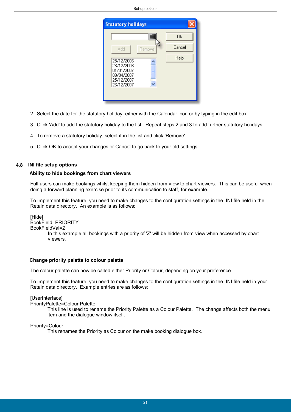

- 2. Select the date for the statutory holiday, either with the Calendar icon or by typing in the edit box.
- 3. Click 'Add' to add the statutory holiday to the list. Repeat steps 2 and 3 to add further statutory holidays.
- 4. To remove a statutory holiday, select it in the list and click 'Remove'.
- 5. Click OK to accept your changes or Cancel to go back to your old settings.

#### <span id="page-20-0"></span>**4.8 INI file setup options**

#### **Ability to hide bookings from chart viewers**

Full users can make bookings whilst keeping them hidden from view to chart viewers. This can be useful when doing a forward planning exercise prior to its communication to staff, for example.

To implement this feature, you need to make changes to the configuration settings in the .INI file held in the Retain data directory. An example is as follows:

[Hide] BookField=PRIORITY BookFieldVal=Z In this example all bookings with a priority of 'Z' will be hidden from view when accessed by chart viewers.

#### <span id="page-20-1"></span>**Change priority palette to colour palette**

The colour palette can now be called either Priority or Colour, depending on your preference.

To implement this feature, you need to make changes to the configuration settings in the .INI file held in your Retain data directory. Example entries are as follows:

#### [UserInterface]

PriorityPalette=Colour Palette

This line is used to rename the Priority Palette as a Colour Palette. The change affects both the menu item and the dialogue window itself.

#### Priority=Colour

This renames the Priority as Colour on the make booking dialogue box.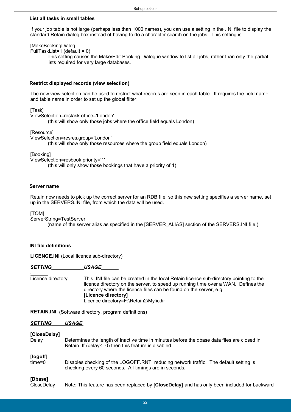#### <span id="page-21-0"></span>**List all tasks in small tables**

If your job table is not large (perhaps less than 1000 names), you can use a setting in the .INI file to display the standard Retain dialog box instead of having to do a character search on the jobs. This setting is:

#### [MakeBookingDialog]

FullTaskList=1 (default = 0)

This setting causes the Make/Edit Booking Dialogue window to list all jobs, rather than only the partial lists required for very large databases.

#### <span id="page-21-1"></span>**Restrict displayed records (view selection)**

The new view selection can be used to restrict what records are seen in each table. It requires the field name and table name in order to set up the global filter.

[Task]

ViewSelection=restask.office='London'

(this will show only those jobs where the office field equals London)

[Resource]

ViewSelection=resres.group='London'

(this will show only those resources where the group field equals London)

[Booking]

ViewSelection=resbook.priority='1'

(this will only show those bookings that have a priority of 1)

#### <span id="page-21-2"></span>**Server name**

Retain now needs to pick up the correct server for an RDB file, so this new setting specifies a server name, set up in the SERVERS.INI file, from which the data will be used.

[TOM]

ServerString=TestServer

(name of the server alias as specified in the [SERVER\_ALIAS] section of the SERVERS.INI file.)

#### <span id="page-21-3"></span>**INI file definitions**

**LICENCE.INI** (Local licence sub-directory)

| <b>SETTING</b>    | <i><b>USAGE</b></i>                                                                                                                                                                                                                                                                                                 |
|-------------------|---------------------------------------------------------------------------------------------------------------------------------------------------------------------------------------------------------------------------------------------------------------------------------------------------------------------|
| Licence directory | This . INI file can be created in the local Retain licence sub-directory pointing to the<br>licence directory on the server, to speed up running time over a WAN. Defines the<br>directory where the licence files can be found on the server, e.g.<br>[Licence directory]<br>Licence directory=F:\Retain2\Mylicdir |

**RETAIN.INI** (Software directory, program definitions)

#### *SETTING USAGE*

#### **[CloseDelay]**

Delay Determines the length of inactive time in minutes before the dbase data files are closed in Retain. If (delay<=0) then this feature is disabled. **[logoff]** time=0 Disables checking of the LOGOFF.RNT, reducing network traffic. The default setting is checking every 60 seconds. All timings are in seconds. **[Dbase]**

CloseDelay Note: This feature has been replaced by **[CloseDelay]** and has only been included for backward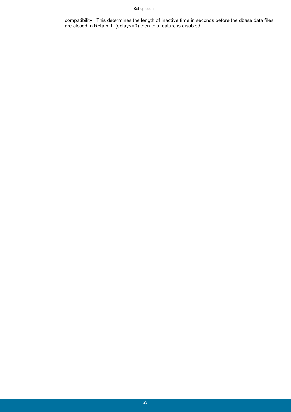compatibility. This determines the length of inactive time in seconds before the dbase data files are closed in Retain. If (delay<=0) then this feature is disabled.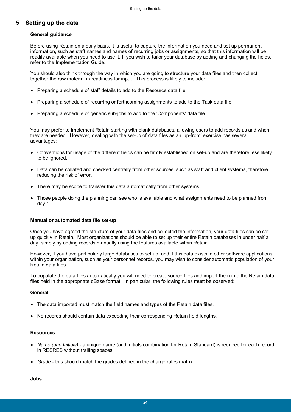### <span id="page-23-0"></span>**5 Setting up the data**

#### **General guidance**

Before using Retain on a daily basis, it is useful to capture the information you need and set up permanent information, such as staff names and names of recurring jobs or assignments, so that this information will be readily available when you need to use it. If you wish to tailor your database by adding and changing the fields, refer to the Implementation Guide.

You should also think through the way in which you are going to structure your data files and then collect together the raw material in readiness for input. This process is likely to include:

- Preparing a schedule of staff details to add to the Resource data file.
- Preparing a schedule of recurring or forthcoming assignments to add to the Task data file.
- Preparing a schedule of generic sub-jobs to add to the 'Components' data file.

You may prefer to implement Retain starting with blank databases, allowing users to add records as and when they are needed. However, dealing with the set-up of data files as an 'up-front' exercise has several advantages:

- Conventions for usage of the different fields can be firmly established on set-up and are therefore less likely to be ignored.
- Data can be collated and checked centrally from other sources, such as staff and client systems, therefore reducing the risk of error.
- There may be scope to transfer this data automatically from other systems.
- Those people doing the planning can see who is available and what assignments need to be planned from day 1.

#### **Manual or automated data file set-up**

Once you have agreed the structure of your data files and collected the information, your data files can be set up quickly in Retain. Most organizations should be able to set up their entire Retain databases in under half a day, simply by adding records manually using the features available within Retain.

However, if you have particularly large databases to set up, and if this data exists in other software applications within your organization, such as your personnel records, you may wish to consider automatic population of your Retain data files.

To populate the data files automatically you will need to create source files and import them into the Retain data files held in the appropriate dBase format. In particular, the following rules must be observed:

#### **General**

- The data imported must match the field names and types of the Retain data files.
- No records should contain data exceeding their corresponding Retain field lengths.

#### **Resources**

- *Name (and Initials)* a unique name (and initials combination for Retain Standard) is required for each record in RESRES without trailing spaces.
- *Grade* this should match the grades defined in the charge rates matrix.

**Jobs**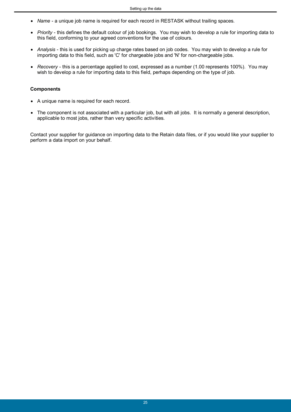- *Name* a unique job name is required for each record in RESTASK without trailing spaces.
- *Priority* this defines the default colour of job bookings. You may wish to develop a rule for importing data to this field, conforming to your agreed conventions for the use of colours.
- *Analysis* this is used for picking up charge rates based on job codes. You may wish to develop a rule for importing data to this field, such as 'C' for chargeable jobs and 'N' for non-chargeable jobs.
- *Recovery* this is a percentage applied to cost, expressed as a number (1.00 represents 100%). You may wish to develop a rule for importing data to this field, perhaps depending on the type of job.

#### **Components**

- A unique name is required for each record.
- The component is not associated with a particular job, but with all jobs. It is normally a general description, applicable to most jobs, rather than very specific activities.

Contact your supplier for guidance on importing data to the Retain data files, or if you would like your supplier to perform a data import on your behalf.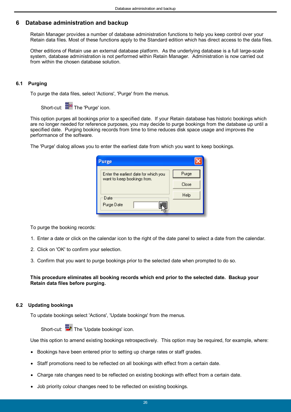### <span id="page-25-0"></span>**6 Database administration and backup**

Retain Manager provides a number of database administration functions to help you keep control over your Retain data files. Most of these functions apply to the Standard edition which has direct access to the data files.

Other editions of Retain use an external database platform. As the underlying database is a full large-scale system, database administration is not performed within Retain Manager. Administration is now carried out from within the chosen database solution.

#### <span id="page-25-1"></span>**6.1 Purging**

To purge the data files, select 'Actions', 'Purge' from the menus.

Short-cut:  $\frac{d}{dx}$  The 'Purge' icon.

This option purges all bookings prior to a specified date. If your Retain database has historic bookings which are no longer needed for reference purposes, you may decide to purge bookings from the database up until a specified date. Purging booking records from time to time reduces disk space usage and improves the performance of the software.

The 'Purge' dialog allows you to enter the earliest date from which you want to keep bookings.

| Purge                                 |       |
|---------------------------------------|-------|
| Enter the earliest date for which you | Purge |
| want to keep bookings from.           | Close |
| Date                                  | Help  |
| Purge Date                            |       |

To purge the booking records:

- 1. Enter a date or click on the calendar icon to the right of the date panel to select a date from the calendar.
- 2. Click on 'OK' to confirm your selection.
- 3. Confirm that you want to purge bookings prior to the selected date when prompted to do so.

#### **This procedure eliminates all booking records which end prior to the selected date. Backup your Retain data files before purging.**

#### <span id="page-25-2"></span>**6.2 Updating bookings**

To update bookings select 'Actions', 'Update bookings' from the menus.

Short-cut: To The 'Update bookings' icon.

Use this option to amend existing bookings retrospectively. This option may be required, for example, where:

- Bookings have been entered prior to setting up charge rates or staff grades.
- Staff promotions need to be reflected on all bookings with effect from a certain date.
- Charge rate changes need to be reflected on existing bookings with effect from a certain date.
- Job priority colour changes need to be reflected on existing bookings.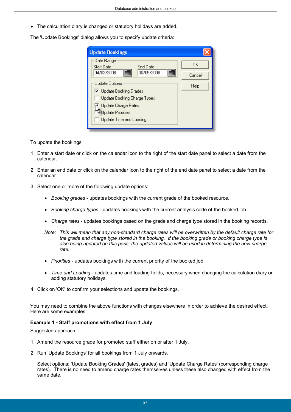The calculation diary is changed or statutory holidays are added.

The 'Update Bookings' dialog allows you to specify update criteria:

| <b>Update Bookings</b>                      |        |  |  |
|---------------------------------------------|--------|--|--|
| Date Range<br><b>Start Date</b><br>End Date | OΚ     |  |  |
| ▦<br>▦<br>04/02/2008<br>30/05/2008          | Cancel |  |  |
| Update Options                              | Help   |  |  |
| □ Update Booking Grades                     |        |  |  |
| Update Booking Charge Types                 |        |  |  |
| Update Charge Rates                         |        |  |  |
| <b>Update Priorities</b>                    |        |  |  |
| Update Time and Loading                     |        |  |  |
|                                             |        |  |  |

To update the bookings:

- 1. Enter a start date or click on the calendar icon to the right of the start date panel to select a date from the calendar.
- 2. Enter an end date or click on the calendar icon to the right of the end date panel to select a date from the calendar.
- 3. Select one or more of the following update options:
	- *Booking grades* updates bookings with the current grade of the booked resource.
	- *Booking charge types* updates bookings with the current analysis code of the booked job.
	- *Charge rates* updates bookings based on the grade and charge type stored in the booking records.
	- *Note: This will mean that any non-standard charge rates will be overwritten by the default charge rate for the grade and charge type stored in the booking. If the booking grade or booking charge type is also being updated on this pass, the updated values will be used in determining the new charge rate.*
	- *Priorities* updates bookings with the current priority of the booked job.
	- *Time and Loading* updates time and loading fields, necessary when changing the calculation diary or adding statutory holidays.
- 4. Click on 'OK' to confirm your selections and update the bookings.

You may need to combine the above functions with changes elsewhere in order to achieve the desired effect. Here are some examples:

#### **Example 1 - Staff promotions with effect from 1 July** ï

Suggested approach:

- 1. Amend the resource grade for promoted staff either on or after 1 July.
- 2. Run 'Update Bookings' for all bookings from 1 July onwards.

Select options: 'Update Booking Grades' (latest grades) and 'Update Charge Rates' (corresponding charge rates). There is no need to amend charge rates themselves unless these also changed with effect from the same date.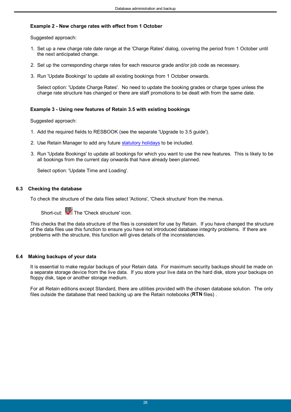#### **Example 2 - New charge rates with effect from 1 October**

Suggested approach:

- 1. Set up a new charge rate date range at the 'Charge Rates' dialog, covering the period from 1 October until the next anticipated change.
- 2. Set up the corresponding charge rates for each resource grade and/or job code as necessary.
- 3. Run 'Update Bookings' to update all existing bookings from 1 October onwards.

Select option: 'Update Charge Rates'. No need to update the booking grades or charge types unless the charge rate structure has changed or there are staff promotions to be dealt with from the same date.

#### **Example 3 - Using new features of Retain 3.5 with existing bookings**

Suggested approach:

- 1. Add the required fields to RESBOOK (see the separate 'Upgrade to 3.5 guide').
- 2. Use Retain Manager to add any future [statutory holidays](#page-19-3) to be included.
- 3. Run 'Update Bookings' to update all bookings for which you want to use the new features. This is likely to be all bookings from the current day onwards that have already been planned.

Select option: 'Update Time and Loading'.

#### <span id="page-27-0"></span>**6.3 Checking the database**

To check the structure of the data files select 'Actions', 'Check structure' from the menus.

Short-cut: The 'Check structure' icon.

This checks that the data structure of the files is consistent for use by Retain. If you have changed the structure of the data files use this function to ensure you have not introduced database integrity problems. If there are problems with the structure, this function will gives details of the inconsistencies.

#### <span id="page-27-1"></span>**6.4 Making backups of your data**

It is essential to make regular backups of your Retain data. For maximum security backups should be made on a separate storage device from the live data. If you store your live data on the hard disk, store your backups on floppy disk, tape or another storage medium.

For all Retain editions except Standard, there are utilities provided with the chosen database solution. The only files outside the database that need backing up are the Retain notebooks (**RTN** files) .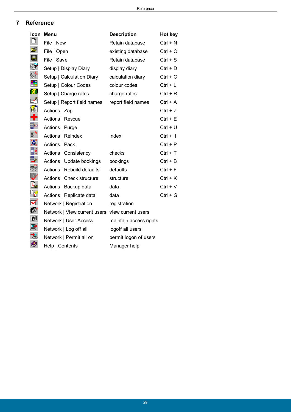### <span id="page-28-0"></span>**7 Reference**

| Icon               | Menu                                            | <b>Description</b>     | Hot key    |
|--------------------|-------------------------------------------------|------------------------|------------|
| $\Box$             | File   New                                      | Retain database        | $Ctrl + N$ |
| Ê                  | File   Open                                     | existing database      | $Ctrl + O$ |
| $\blacksquare$     | File   Save                                     | Retain database        | $Ctrl + S$ |
| $\heartsuit$       | Setup   Display Diary                           | display diary          | $Ctrl + D$ |
| Qr                 | Setup   Calculation Diary                       | calculation diary      | $Ctrl + C$ |
| $\blacksquare$     | Setup   Colour Codes                            | colour codes           | $Ctrl + L$ |
| <b>Isr</b>         | Setup   Charge rates                            | charge rates           | $Ctrl + R$ |
|                    | Setup   Report field names                      | report field names     | $Ctrl + A$ |
|                    | Actions   Zap                                   |                        | $Ctrl + Z$ |
| DV25■→ B×          | Actions   Rescue                                |                        | $Ctrl + E$ |
|                    | Actions   Purge                                 |                        | $Ctrl + U$ |
| ₽                  | Actions   Reindex                               | index                  | $Ctrl + I$ |
| X,                 | Actions   Pack                                  |                        | $Ctrl + P$ |
| 。<br>目3            | Actions   Consistency                           | checks                 | $Ctrl + T$ |
| 化伊仑等               | Actions   Update bookings                       | bookings               | $Ctrl + B$ |
|                    | Actions   Rebuild defaults                      | defaults               | $Ctrl + F$ |
|                    | Actions   Check structure                       | structure              | $Ctrl + K$ |
|                    | Actions   Backup data                           | data                   | $Ctrl + V$ |
|                    | Actions   Replicate data                        | data                   | $Ctrl + G$ |
| ✔                  | Network   Registration                          | registration           |            |
| $\boldsymbol{C}^*$ | Network   View current users view current users |                        |            |
| ņ                  | Network   User Access                           | maintain access rights |            |
| B                  | Network   Log off all                           | logoff all users       |            |
| 匒                  | Network   Permit all on                         | permit logon of users  |            |
| Ø                  | Help   Contents                                 | Manager help           |            |
|                    |                                                 |                        |            |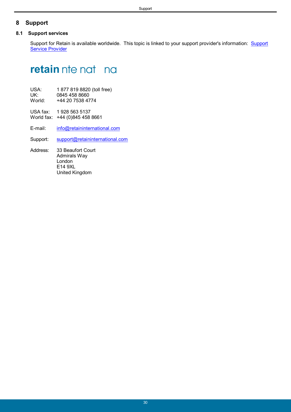### <span id="page-29-0"></span>**8 Support**

#### **8.1 Support services**

Support for Retain is available worldwide. This topic is linked to your support provider's information: Support Service Provider

# **retain** nte nat na

| USA:<br>UK:<br>World: | 1877 819 8820 (toll free)<br>0845 458 8660<br>+44 20 7538 4774 |  |
|-----------------------|----------------------------------------------------------------|--|
|                       | USA fax: 1928 563 5137<br>World fax: +44 (0)845 458 8661       |  |

E-mail: [info@retaininternational.com](mailto:info@retaininternational.com)

Support: [support@retaininternational.com](mailto:support@retaininternational.com)

 Address: 33 Beaufort Court Admirals Way London E14 9XL United Kingdom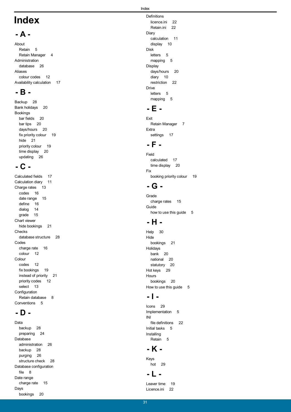# **Index**

### **- A -**

About Retain 5 Retain Manager 4 Administration database 26 Aliases colour codes 12 Availability calculation 17

# **- B -**

Backup 28 Bank holidays 20 Bookings bar fields 20 bar tips 20 days/hours 20 fix priority colour 19 hide 21 priority colour 19 time display 20 updating 26

# **- C -**

Calculated fields 17 Calculation diary 11 Charge rates 13 codes 16 date range 15 define 16 dialog 14 grade 15 Chart viewer hide bookings 21 Checks database structure 28 Codes charge rate 16 colour 12 Colour codes 12 fix bookings 19 instead of priority 21 priority codes 12 select 13 Configuration Retain database 8 Conventions 5

# **- D -**

Data backup 28 preparing 24 Database administration 26 backup 28 purging 26 structure check 28 Database configuration file 8 Date range charge rate 15 Days bookings 20

**Definitions** licence.ini 22 Retain.ini 22 Diary calculation 11 display 10 Disk letters 5 mapping 5 Display days/hours 20 diary 10 restriction 22 Drive letters 5 mapping 5

# **- E -**

Exit Retain Manager 7 Extra settings 17

# **- F -**

Field calculated 17 time display 20 Fix booking priority colour 19

# **- G -**

Grade charge rates 15 Guide how to use this guide 5

# **- H -**

Help 30 Hide bookings 21 Holidays bank 20 national 20 statutory 20 Hot keys 29 Hours bookings 20 How to use this quide 5

# **- I -**

Icons 29 Implementation 5 INI file definitions 22 Initial tasks 5 Installing Retain 5

# **- K -**

Keys hot 29

# **- L -**

Leaver time 19 Licence.ini 22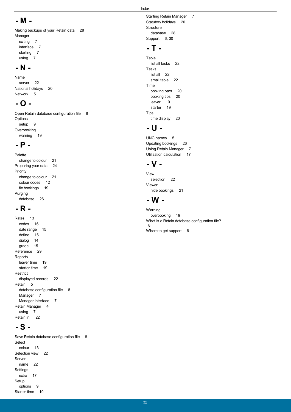#### Index

# **- M -**

Making backups of your Retain data 28 Manager exiting 7

interface 7 starting 7 using 7

### **- N -**

Name server 22 National holidays 20 Network 5

# **- O -**

Open Retain database configuration file 8 Options setup 9 **Overbooking** warning 19

# **- P -**

Palette change to colour 21 Preparing your data 24 Priority change to colour 21 colour codes 12 fix bookings 19 Purging database 26

# **- R -**

Rates 13 codes 16 date range 15 define 16 dialog 14 grade 15 Reference 29 Reports leaver time 19 starter time 19 Restrict displayed records 22 Retain 5 database configuration file 8 Manager 7 Manager interface 7 Retain Manager 4 using 7 Retain.ini 22

# **- S -**

Save Retain database configuration file 8 Select colour 13 Selection view 22 Server name 22 Settings extra 17 Setup options 9 Starter time 19

Starting Retain Manager 7 Statutory holidays 20 **Structure** database 28 Support 6, 30

# **- T -**

Table list all tasks 22 Tasks list all 22 small table 22 Time booking bars 20 booking tips 20 leaver 19 starter 19 Tips time display 20

# **- U -**

UNC names 5 Updating bookings 26 Using Retain Manager 7 Utilisation calculation 17

# **- V -**

View selection 22 Viewer hide bookings 21

## **- W -**

**Warning** overbooking 19 What is a Retain database configuration file? 8 Where to get support 6